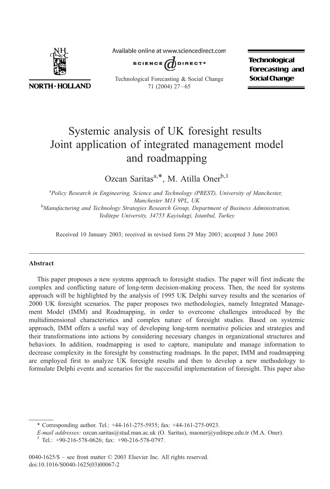

**NORTH-HOLLAND** 

Available online at www.sciencedirect.com

SCIENCE  $\omega$  DIRECT<sup>.</sup>

Technological Forecasting & Social Change 71 (2004) 27 – 65

**Technological Forecasting and Social Change** 

## Systemic analysis of UK foresight results Joint application of integrated management model and roadmapping

Ozcan Saritas<sup>a,\*</sup>, M. Atilla Oner<sup>b,1</sup>

<sup>a</sup>Policy Research in Engineering, Science and Technology (PREST), University of Manchester, Manchester M13 9PL, UK<br><sup>b</sup>Manufacturing and Technology Strategies Research Group, Department of Business Administration, Yeditepe University, 34755 Kayisdagi, Istanbul, Turkey

Received 10 January 2003; received in revised form 29 May 2003; accepted 3 June 2003

## Abstract

This paper proposes a new systems approach to foresight studies. The paper will first indicate the complex and conflicting nature of long-term decision-making process. Then, the need for systems approach will be highlighted by the analysis of 1995 UK Delphi survey results and the scenarios of 2000 UK foresight scenarios. The paper proposes two methodologies, namely Integrated Management Model (IMM) and Roadmapping, in order to overcome challenges introduced by the multidimensional characteristics and complex nature of foresight studies. Based on systemic approach, IMM offers a useful way of developing long-term normative policies and strategies and their transformations into actions by considering necessary changes in organizational structures and behaviors. In addition, roadmapping is used to capture, manipulate and manage information to decrease complexity in the foresight by constructing roadmaps. In the paper, IMM and roadmapping are employed first to analyze UK foresight results and then to develop a new methodology to formulate Delphi events and scenarios for the successful implementation of foresight. This paper also

\* Corresponding author. Tel.: +44-161-275-5935; fax: +44-161-275-0923.

E-mail addresses: ozcan.saritas@stud.man.ac.uk (O. Saritas), maoner@yeditepe.edu.tr (M.A. Oner).<br><sup>1</sup> Tel.: +90-216-578-0626; fax: +90-216-578-0797.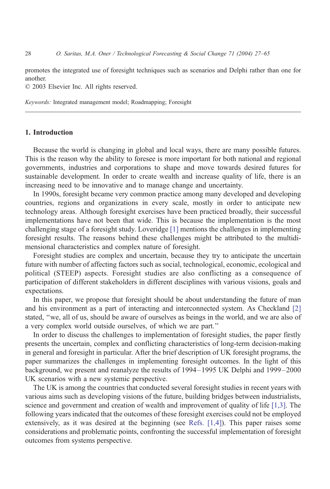promotes the integrated use of foresight techniques such as scenarios and Delphi rather than one for another.

 $© 2003 Elsevier Inc. All rights reserved.$ 

Keywords: Integrated management model; Roadmapping; Foresight

## 1. Introduction

Because the world is changing in global and local ways, there are many possible futures. This is the reason why the ability to foresee is more important for both national and regional governments, industries and corporations to shape and move towards desired futures for sustainable development. In order to create wealth and increase quality of life, there is an increasing need to be innovative and to manage change and uncertainty.

In 1990s, foresight became very common practice among many developed and developing countries, regions and organizations in every scale, mostly in order to anticipate new technology areas. Although foresight exercises have been practiced broadly, their successful implementations have not been that wide. This is because the implementation is the most challenging stage of a foresight study. Loveridge [\[1\]](#page--1-0) mentions the challenges in implementing foresight results. The reasons behind these challenges might be attributed to the multidimensional characteristics and complex nature of foresight.

Foresight studies are complex and uncertain, because they try to anticipate the uncertain future with number of affecting factors such as social, technological, economic, ecological and political (STEEP) aspects. Foresight studies are also conflicting as a consequence of participation of different stakeholders in different disciplines with various visions, goals and expectations.

In this paper, we propose that foresight should be about understanding the future of man and his environment as a part of interacting and interconnected system. As Checkland [\[2\]](#page--1-0) stated, ''we, all of us, should be aware of ourselves as beings in the world, and we are also of a very complex world outside ourselves, of which we are part.''

In order to discuss the challenges to implementation of foresight studies, the paper firstly presents the uncertain, complex and conflicting characteristics of long-term decision-making in general and foresight in particular. After the brief description of UK foresight programs, the paper summarizes the challenges in implementing foresight outcomes. In the light of this background, we present and reanalyze the results of 1994–1995 UK Delphi and 1999–2000 UK scenarios with a new systemic perspective.

The UK is among the countries that conducted several foresight studies in recent years with various aims such as developing visions of the future, building bridges between industrialists, science and government and creation of wealth and improvement of quality of life [\[1,3\].](#page--1-0) The following years indicated that the outcomes of these foresight exercises could not be employed extensively, as it was desired at the beginning (see [Refs. \[1,4\]\)](#page--1-0). This paper raises some considerations and problematic points, confronting the successful implementation of foresight outcomes from systems perspective.